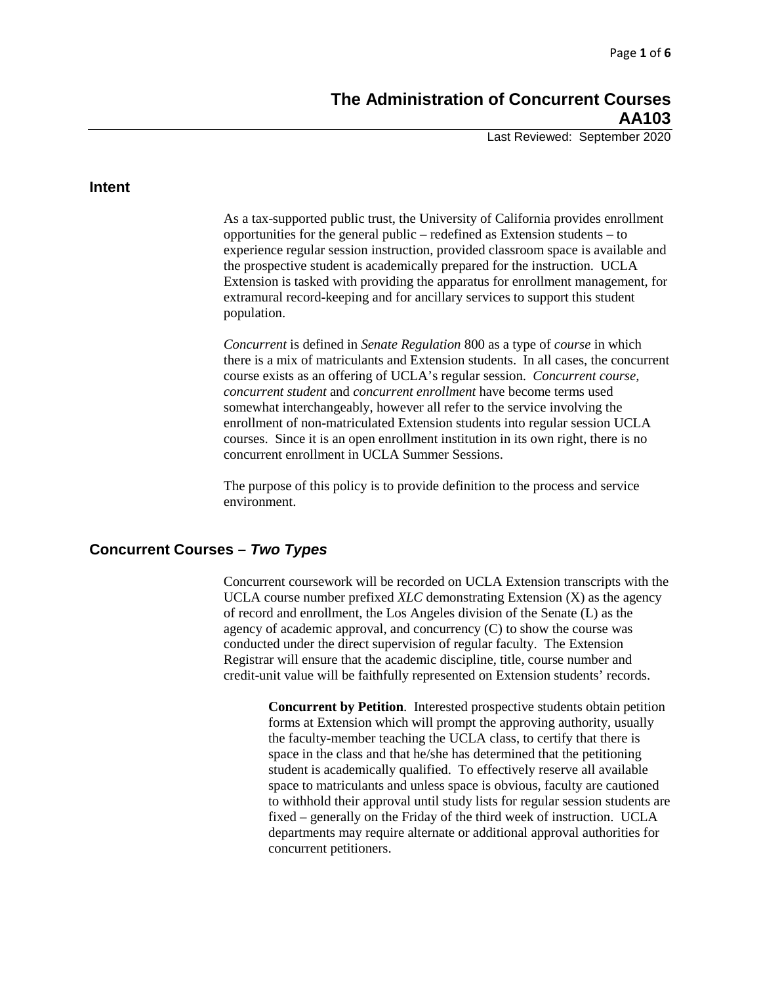Last Reviewed: September 2020

#### **Intent**

As a tax-supported public trust, the University of California provides enrollment opportunities for the general public – redefined as Extension students – to experience regular session instruction, provided classroom space is available and the prospective student is academically prepared for the instruction. UCLA Extension is tasked with providing the apparatus for enrollment management, for extramural record-keeping and for ancillary services to support this student population.

*Concurrent* is defined in *Senate Regulation* 800 as a type of *course* in which there is a mix of matriculants and Extension students. In all cases, the concurrent course exists as an offering of UCLA's regular session. *Concurrent course, concurrent student* and *concurrent enrollment* have become terms used somewhat interchangeably, however all refer to the service involving the enrollment of non-matriculated Extension students into regular session UCLA courses. Since it is an open enrollment institution in its own right, there is no concurrent enrollment in UCLA Summer Sessions.

The purpose of this policy is to provide definition to the process and service environment.

# **Concurrent Courses –** *Two Types*

Concurrent coursework will be recorded on UCLA Extension transcripts with the UCLA course number prefixed *XLC* demonstrating Extension (X) as the agency of record and enrollment, the Los Angeles division of the Senate (L) as the agency of academic approval, and concurrency (C) to show the course was conducted under the direct supervision of regular faculty. The Extension Registrar will ensure that the academic discipline, title, course number and credit-unit value will be faithfully represented on Extension students' records.

**Concurrent by Petition**. Interested prospective students obtain petition forms at Extension which will prompt the approving authority, usually the faculty-member teaching the UCLA class, to certify that there is space in the class and that he/she has determined that the petitioning student is academically qualified. To effectively reserve all available space to matriculants and unless space is obvious, faculty are cautioned to withhold their approval until study lists for regular session students are fixed – generally on the Friday of the third week of instruction. UCLA departments may require alternate or additional approval authorities for concurrent petitioners.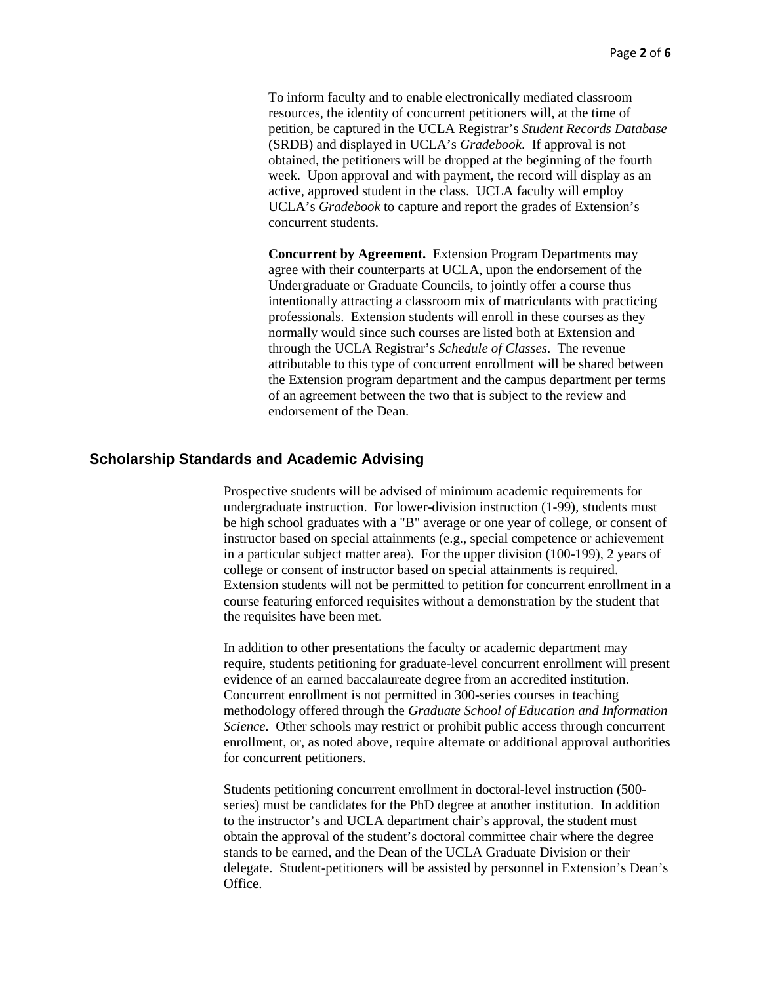To inform faculty and to enable electronically mediated classroom resources, the identity of concurrent petitioners will, at the time of petition, be captured in the UCLA Registrar's *Student Records Database* (SRDB) and displayed in UCLA's *Gradebook*. If approval is not obtained, the petitioners will be dropped at the beginning of the fourth week. Upon approval and with payment, the record will display as an active, approved student in the class. UCLA faculty will employ UCLA's *Gradebook* to capture and report the grades of Extension's concurrent students.

**Concurrent by Agreement.** Extension Program Departments may agree with their counterparts at UCLA, upon the endorsement of the Undergraduate or Graduate Councils, to jointly offer a course thus intentionally attracting a classroom mix of matriculants with practicing professionals. Extension students will enroll in these courses as they normally would since such courses are listed both at Extension and through the UCLA Registrar's *Schedule of Classes*. The revenue attributable to this type of concurrent enrollment will be shared between the Extension program department and the campus department per terms of an agreement between the two that is subject to the review and endorsement of the Dean.

### **Scholarship Standards and Academic Advising**

Prospective students will be advised of minimum academic requirements for undergraduate instruction. For lower-division instruction (1-99), students must be high school graduates with a "B" average or one year of college, or consent of instructor based on special attainments (e.g., special competence or achievement in a particular subject matter area). For the upper division (100-199), 2 years of college or consent of instructor based on special attainments is required. Extension students will not be permitted to petition for concurrent enrollment in a course featuring enforced requisites without a demonstration by the student that the requisites have been met.

In addition to other presentations the faculty or academic department may require, students petitioning for graduate-level concurrent enrollment will present evidence of an earned baccalaureate degree from an accredited institution. Concurrent enrollment is not permitted in 300-series courses in teaching methodology offered through the *Graduate School of Education and Information Science.* Other schools may restrict or prohibit public access through concurrent enrollment, or, as noted above, require alternate or additional approval authorities for concurrent petitioners.

Students petitioning concurrent enrollment in doctoral-level instruction (500 series) must be candidates for the PhD degree at another institution. In addition to the instructor's and UCLA department chair's approval, the student must obtain the approval of the student's doctoral committee chair where the degree stands to be earned, and the Dean of the UCLA Graduate Division or their delegate. Student-petitioners will be assisted by personnel in Extension's Dean's Office.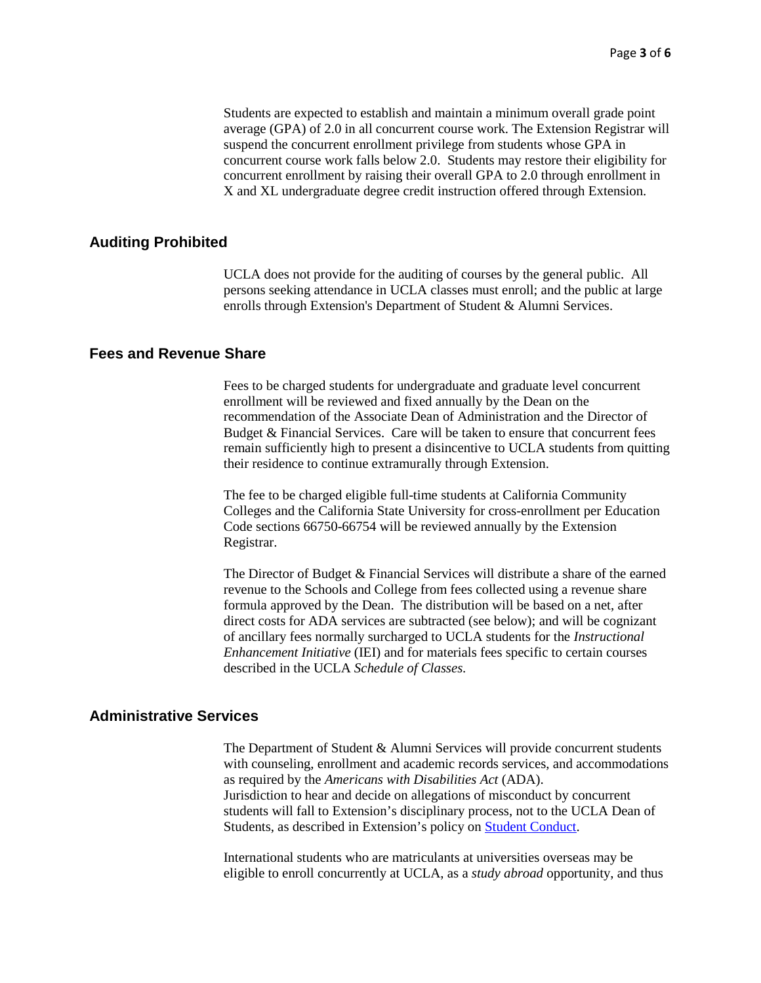Students are expected to establish and maintain a minimum overall grade point average (GPA) of 2.0 in all concurrent course work. The Extension Registrar will suspend the concurrent enrollment privilege from students whose GPA in concurrent course work falls below 2.0. Students may restore their eligibility for concurrent enrollment by raising their overall GPA to 2.0 through enrollment in X and XL undergraduate degree credit instruction offered through Extension.

### **Auditing Prohibited**

UCLA does not provide for the auditing of courses by the general public. All persons seeking attendance in UCLA classes must enroll; and the public at large enrolls through Extension's Department of Student & Alumni Services.

### **Fees and Revenue Share**

Fees to be charged students for undergraduate and graduate level concurrent enrollment will be reviewed and fixed annually by the Dean on the recommendation of the Associate Dean of Administration and the Director of Budget & Financial Services. Care will be taken to ensure that concurrent fees remain sufficiently high to present a disincentive to UCLA students from quitting their residence to continue extramurally through Extension.

The fee to be charged eligible full-time students at California Community Colleges and the California State University for cross-enrollment per Education Code sections 66750-66754 will be reviewed annually by the Extension Registrar.

The Director of Budget & Financial Services will distribute a share of the earned revenue to the Schools and College from fees collected using a revenue share formula approved by the Dean. The distribution will be based on a net, after direct costs for ADA services are subtracted (see below); and will be cognizant of ancillary fees normally surcharged to UCLA students for the *Instructional Enhancement Initiative* (IEI) and for materials fees specific to certain courses described in the UCLA *Schedule of Classes.*

### **Administrative Services**

The Department of Student & Alumni Services will provide concurrent students with counseling, enrollment and academic records services, and accommodations as required by the *Americans with Disabilities Act* (ADA). Jurisdiction to hear and decide on allegations of misconduct by concurrent students will fall to Extension's disciplinary process, not to the UCLA Dean of Students, as described in Extension's policy on [Student Conduct.](https://intracon.uclaextension.edu/policies/SA501.pdf)

International students who are matriculants at universities overseas may be eligible to enroll concurrently at UCLA, as a *study abroad* opportunity, and thus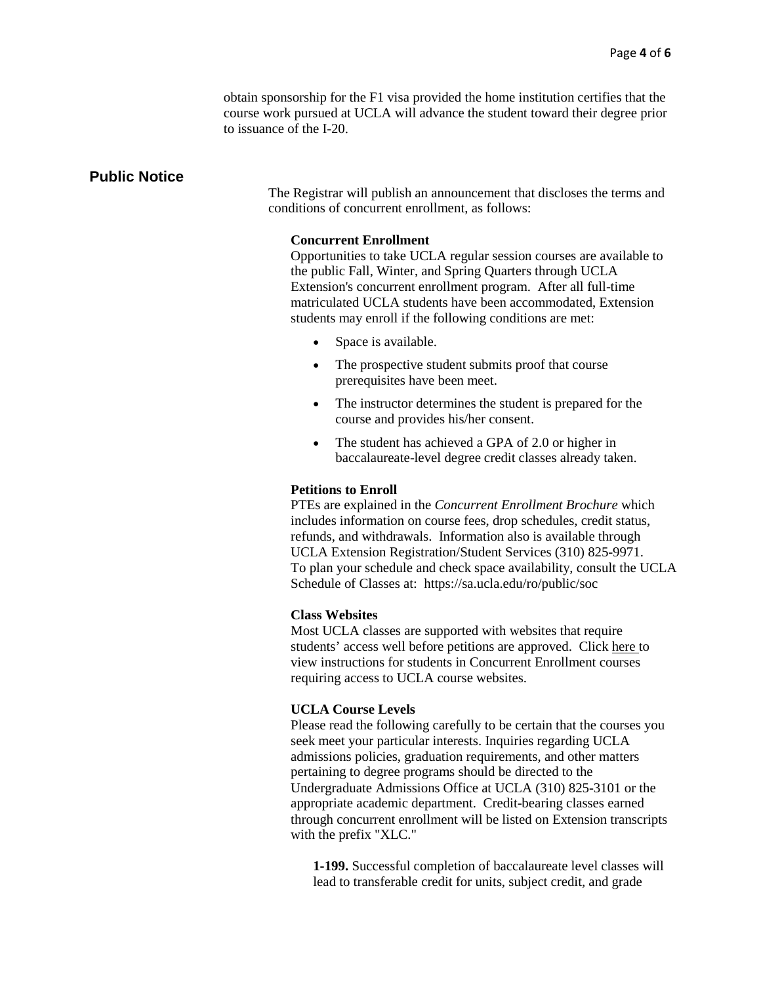obtain sponsorship for the F1 visa provided the home institution certifies that the course work pursued at UCLA will advance the student toward their degree prior to issuance of the I-20.

### **Public Notice**

The Registrar will publish an announcement that discloses the terms and conditions of concurrent enrollment, as follows:

#### **Concurrent Enrollment**

Opportunities to take UCLA regular session courses are available to the public Fall, Winter, and Spring Quarters through UCLA Extension's concurrent enrollment program. After all full-time matriculated UCLA students have been accommodated, Extension students may enroll if the following conditions are met:

- Space is available.
- The prospective student submits proof that course prerequisites have been meet.
- The instructor determines the student is prepared for the course and provides his/her consent.
- The student has achieved a GPA of 2.0 or higher in baccalaureate-level degree credit classes already taken.

#### **Petitions to Enroll**

PTEs are explained in the *[Concurrent Enrollment Brochure](https://www.uclaextension.edu/SiteCollectionDocuments/Pdf/StudentResources/ConcurrentEnrollmentBrochure.pdf)* which includes information on course fees, drop schedules, credit status, refunds, and withdrawals. Information also is available through UCLA Extension Registration/Student Services (310) 825-9971. To plan your schedule and check space availability, consult the UCLA Schedule of Classes at: https://sa.ucla.edu/ro/public/soc

#### **Class Websites**

Most UCLA classes are supported with websites that require students' access well before petitions are approved. Click [here t](https://www.uclaextension.edu/sites/default/files/pdf/ConcurrentEnrollmentBrochure.pdf)o view instructions for students in Concurrent Enrollment courses requiring access to UCLA course websites.

#### **UCLA Course Levels**

Please read the following carefully to be certain that the courses you seek meet your particular interests. Inquiries regarding UCLA admissions policies, graduation requirements, and other matters pertaining to degree programs should be directed to the Undergraduate Admissions Office at UCLA (310) 825-3101 or the appropriate academic department. Credit-bearing classes earned through concurrent enrollment will be listed on Extension transcripts with the prefix "XLC."

**1-199.** Successful completion of baccalaureate level classes will lead to transferable credit for units, subject credit, and grade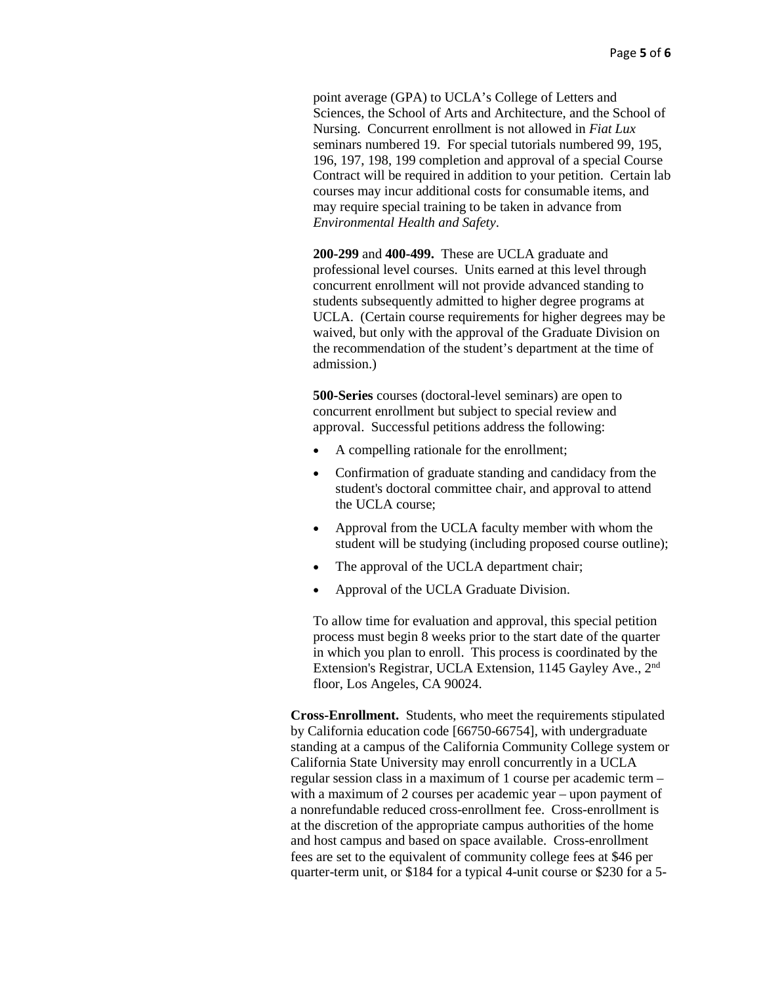point average (GPA) to UCLA's College of Letters and Sciences, the School of Arts and Architecture, and the School of Nursing. Concurrent enrollment is not allowed in *Fiat Lux* seminars numbered 19. For special tutorials numbered 99, 195, 196, 197, 198, 199 completion and approval of a special Course Contract will be required in addition to your petition. Certain lab courses may incur additional costs for consumable items, and may require special training to be taken in advance from *Environmental Health and Safety*.

**200-299** and **400-499.** These are UCLA graduate and professional level courses. Units earned at this level through concurrent enrollment will not provide advanced standing to students subsequently admitted to higher degree programs at UCLA. (Certain course requirements for higher degrees may be waived, but only with the approval of the Graduate Division on the recommendation of the student's department at the time of admission.)

**500-Series** courses (doctoral-level seminars) are open to concurrent enrollment but subject to special review and approval. Successful petitions address the following:

- A compelling rationale for the enrollment;
- Confirmation of graduate standing and candidacy from the student's doctoral committee chair, and approval to attend the UCLA course;
- Approval from the UCLA faculty member with whom the student will be studying (including proposed course outline);
- The approval of the UCLA department chair;
- Approval of the UCLA Graduate Division.

To allow time for evaluation and approval, this special petition process must begin 8 weeks prior to the start date of the quarter in which you plan to enroll. This process is coordinated by the Extension's Registrar, UCLA Extension, 1145 Gayley Ave., 2nd floor, Los Angeles, CA 90024.

**Cross-Enrollment.** Students, who meet the requirements stipulated by California education code [66750-66754], with undergraduate standing at a campus of the California Community College system or California State University may enroll concurrently in a UCLA regular session class in a maximum of 1 course per academic term – with a maximum of 2 courses per academic year – upon payment of a nonrefundable reduced cross-enrollment fee. Cross-enrollment is at the discretion of the appropriate campus authorities of the home and host campus and based on space available. Cross-enrollment fees are set to the equivalent of community college fees at \$46 per quarter-term unit, or \$184 for a typical 4-unit course or \$230 for a 5